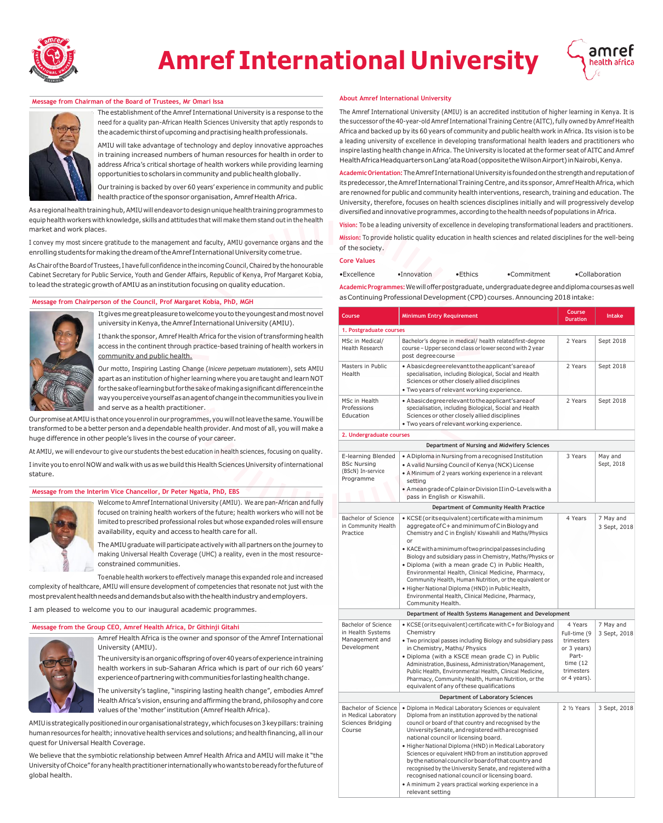

# **Amref International University**



# **Message from Chairman of the Board of Trustees, Mr Omari Issa**



The establishment of the Amref International University is a response to the need for a quality pan-African Health Sciences University that aptly responds to the academic thirst of upcoming and practising health professionals.

AMIU will take advantage of technology and deploy innovative approaches in training increased numbers of human resources for health in order to address Africa's critical shortage of health workers while providing learning opportunities to scholars in community and public health globally.

Our training is backed by over 60 years' experience in community and public health practice of the sponsor organisation, Amref Health Africa.

As a regional health training hub, AMIU will endeavor to design unique health training programmes to equip health workers with knowledge, skills and attitudes that will make them stand out in the health market and work places.

I convey my most sincere gratitude to the management and faculty, AMIU governance organs and the enrolling students for making the dream of the Amref International University come true.

As Chair of the Board of Trustees, I have full confidence in the incoming Council, Chaired by the honourable Cabinet Secretary for Public Service, Youth and Gender Affairs, Republic of Kenya, Prof Margaret Kobia, to lead the strategic growth of AMIU as an institution focusing on quality education.

# **Message from Chairperson of the Council, Prof Margaret Kobia, PhD, MGH**



university in Kenya, the Amref International University (AMIU). I thank the sponsor, Amref Health Africa for the vision of transforming health

It gives me great pleasure to welcome you to the youngest and most novel

access in the continent through practice-based training of health workers in community and public health.

Our motto, Inspiring Lasting Change (*Inìcere perpetuam mutationem*), sets AMIU apart as an institution of higher learning where you are taught and learn NOT forthesakeoflearningbutfor thesakeofmakingasignificantdifferenceinthe wayyouperceiveyourselfasanagentofchangeinthecommunitiesyoulivein and serve as a health practitioner.

Our promise at AMIU is that once you enrol in our programmes, you will not leave the same. You will be transformed to be a better person and a dependable health provider.And most of all, you will make a huge difference in other people's lives in the course of your career.

At AMIU, we will endevour to give our students the best education in health sciences, focusing on quality. I invite you to enrol NOW and walk with us as we build this Health Sciences University of international stature.

### **Message from the Interim Vice Chancellor, Dr Peter Ngatia, PhD, EBS**



Welcome to Amref International University (AMIU). We are pan-African and fully focused on training health workers of the future; health workers who will not be limited to prescribed professional roles but whose expanded roles will ensure availability, equity and access to health care for all.

TheAMIUgraduate will participate actively with all partnerson the journey to making Universal Health Coverage (UHC) a reality, even in the most resourceconstrained communities.

Toenable health workers to effectively manage this expanded role and increased complexity of healthcare, AMIU will ensure development of competencies that resonate not just with the mostprevalenthealthneedsanddemandsbutalsowiththehealthindustryandemployers.

I am pleased to welcome you to our inaugural academic programmes.

#### **Message from the Group CEO, Amref Health Africa, Dr Githinji Gitahi**



Amref Health Africa is the owner and sponsor of the Amref International University (AMIU).

The university is an organic offspring of over 40 years of experience in training health workers in sub-Saharan Africa which is part of our rich 60 years' experience of partnering with communities for lasting health change.

The university's tagline, "inspiring lasting health change", embodies Amref HealthAfrica's vision, ensuring and affirming the brand, philosophy andcore values ofthe 'mother' institution (Amref Health Africa).

AMIU is strategically positioned in our organisational strategy, which focuses on 3 key pillars: training human resources for health; innovative health services and solutions; and health financing, all in our quest for Universal Health Coverage.

We believe that the symbiotic relationship between Amref Health Africa and AMIU will make it "the UniversityofChoice" foranyhealthpractitioner internationallywhowantstobereadyfor thefutureof global health.

#### **About Amref International University**

The Amref International University (AMIU) is an accredited institution of higher learning in Kenya. It is the successor of the 40-year-old Amref International Training Centre (AITC), fully owned by Amref Health Africa and backed up by its 60 years of community and public health work in Africa. Its vision is to be a leading university of excellence in developing transformational health leaders and practitioners who inspire lasting health change in Africa. The University is located at the former seat of AITC and Amref HealthAfricaHeadquartersonLang'ataRoad(oppositetheWilsonAirport)inNairobi,Kenya.

**AcademicOrientation:**TheAmref InternationalUniversityisfoundedonthestrengthandreputationof its predecessor, the Amref International Training Centre, and its sponsor, Amref Health Africa, which are renowned for public and community health interventions, research, training and education. The University, therefore, focuses on health sciences disciplines initially and will progressively develop diversified and innovative programmes, accordingto thehealth needsof populations in Africa.

**Vision:** To be a leading university of excellence in developing transformational leaders and practitioners.

**Mission:** To provide holistic quality education in health sciences and related disciplines for the well-being of thesociety.

### **Core Values**

•Excellence •Innovation •Ethics •Commitment •Collaboration

Academic Programmes: We will offer postgraduate, undergraduate degree and diploma courses as well as Continuing Professional Development (CPD) courses. Announcing 2018 intake:

| Course                                                                             | <b>Minimum Entry Requirement</b>                                                                                                                                                                                                                                                                                                                                                                                                                                                                                                                                                                                                                  | Course<br><b>Duration</b>                                                                                  | Intake                    |
|------------------------------------------------------------------------------------|---------------------------------------------------------------------------------------------------------------------------------------------------------------------------------------------------------------------------------------------------------------------------------------------------------------------------------------------------------------------------------------------------------------------------------------------------------------------------------------------------------------------------------------------------------------------------------------------------------------------------------------------------|------------------------------------------------------------------------------------------------------------|---------------------------|
| 1. Postgraduate courses                                                            |                                                                                                                                                                                                                                                                                                                                                                                                                                                                                                                                                                                                                                                   |                                                                                                            |                           |
| MSc in Medical/<br>Health Research                                                 | Bachelor's degree in medical/ health related first-degree<br>course - Upper second class or lower second with 2 year<br>post degree course                                                                                                                                                                                                                                                                                                                                                                                                                                                                                                        | 2 Years                                                                                                    | Sept 2018                 |
| Masters in Public<br>Health                                                        | • Abasic degreerelevant to the applicant's area of<br>specialisation, including Biological, Social and Health<br>Sciences or other closely allied disciplines<br>. Two years of relevant working experience.                                                                                                                                                                                                                                                                                                                                                                                                                                      | 2 Years                                                                                                    | Sept 2018                 |
| MSc in Health<br>Professions<br>Education                                          | • Abasic degreerelevant to the applicant's area of<br>specialisation, including Biological, Social and Health<br>Sciences or other closely allied disciplines<br>• Two years of relevant working experience.                                                                                                                                                                                                                                                                                                                                                                                                                                      | 2 Years                                                                                                    | Sept 2018                 |
| 2. Undergraduate courses                                                           |                                                                                                                                                                                                                                                                                                                                                                                                                                                                                                                                                                                                                                                   |                                                                                                            |                           |
|                                                                                    | Department of Nursing and Midwifery Sciences                                                                                                                                                                                                                                                                                                                                                                                                                                                                                                                                                                                                      |                                                                                                            |                           |
| E-learning Blended<br><b>BSc Nursing</b><br>(BScN) In-service<br>Programme         | • A Diploma in Nursing from a recognised Institution<br>• A valid Nursing Council of Kenya (NCK) License<br>• A Minimum of 2 years working experience in a relevant<br>setting<br>• A mean grade of C plain or Division II in O-Levels with a<br>pass in English or Kiswahili.                                                                                                                                                                                                                                                                                                                                                                    | 3 Years                                                                                                    | May and<br>Sept, 2018     |
|                                                                                    | Department of Community Health Practice                                                                                                                                                                                                                                                                                                                                                                                                                                                                                                                                                                                                           |                                                                                                            |                           |
| <b>Bachelor of Science</b><br>in Community Health<br>Practice                      | • KCSE (or its equivalent) certificate with a minimum<br>aggregate of C+ and minimum of C in Biology and<br>Chemistry and C in English/ Kiswahili and Maths/Physics<br>or<br>• KACE with a minimum of two principal passes including<br>Biology and subsidiary pass in Chemistry, Maths/Physics or                                                                                                                                                                                                                                                                                                                                                | 4 Years                                                                                                    | 7 May and<br>3 Sept, 2018 |
|                                                                                    | · Diploma (with a mean grade C) in Public Health,<br>Environmental Health, Clinical Medicine, Pharmacy,<br>Community Health, Human Nutrition, or the equivalent or<br>• Higher National Diploma (HND) in Public Health,<br>Environmental Health, Clinical Medicine, Pharmacy,<br>Community Health.                                                                                                                                                                                                                                                                                                                                                |                                                                                                            |                           |
|                                                                                    | Department of Health Systems Management and Development                                                                                                                                                                                                                                                                                                                                                                                                                                                                                                                                                                                           |                                                                                                            |                           |
| <b>Bachelor of Science</b><br>in Health Systems<br>Management and<br>Development   | • KCSE (or its equivalent) certificate with $C+$ for Biology and<br>Chemistry<br>• Two principal passes including Biology and subsidiary pass<br>in Chemistry, Maths/ Physics<br>• Diploma (with a KSCE mean grade C) in Public<br>Administration, Business, Administration/Management,<br>Public Health, Environmental Health, Clinical Medicine,<br>Pharmacy, Community Health, Human Nutrition, or the<br>equivalent of any of these qualifications                                                                                                                                                                                            | 4 Years<br>Full-time (9<br>trimesters<br>or 3 years)<br>Part-<br>time $(12)$<br>trimesters<br>or 4 years). | 7 May and<br>3 Sept, 2018 |
|                                                                                    | Department of Laboratory Sciences                                                                                                                                                                                                                                                                                                                                                                                                                                                                                                                                                                                                                 |                                                                                                            |                           |
| <b>Bachelor of Science</b><br>in Medical Laboratory<br>Sciences Bridging<br>Course | · Diploma in Medical Laboratory Sciences or equivalent<br>Diploma from an institution approved by the national<br>council or board of that country and recognised by the<br>University Senate, and registered with a recognised<br>national council or licensing board.<br>· Higher National Diploma (HND) in Medical Laboratory<br>Sciences or equivalent HND from an institution approved<br>by the national council or board of that country and<br>recognised by the University Senate, and registered with a<br>recognised national council or licensing board.<br>• A minimum 2 years practical working experience in a<br>relevant setting | 2 1/2 Years                                                                                                | 3 Sept, 2018              |